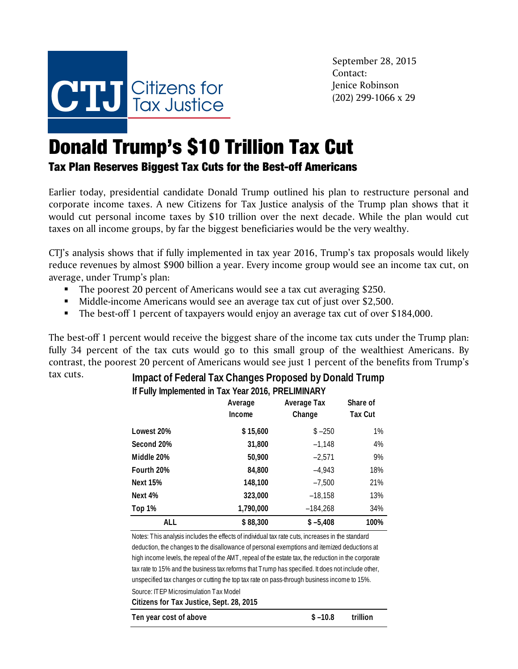

September 28, 2015 Contact: Jenice Robinson (202) 299-1066 x 29

## Donald Trump's \$10 Trillion Tax Cut

## Tax Plan Reserves Biggest Tax Cuts for the Best-off Americans

Earlier today, presidential candidate Donald Trump outlined his plan to restructure personal and corporate income taxes. A new Citizens for Tax Justice analysis of the Trump plan shows that it would cut personal income taxes by \$10 trillion over the next decade. While the plan would cut taxes on all income groups, by far the biggest beneficiaries would be the very wealthy.

CTJ's analysis shows that if fully implemented in tax year 2016, Trump's tax proposals would likely reduce revenues by almost \$900 billion a year. Every income group would see an income tax cut, on average, under Trump's plan:

- The poorest 20 percent of Americans would see a tax cut averaging \$250.
- Middle-income Americans would see an average tax cut of just over \$2,500.
- The best-off 1 percent of taxpayers would enjoy an average tax cut of over \$184,000.

The best-off 1 percent would receive the biggest share of the income tax cuts under the Trump plan: fully 34 percent of the tax cuts would go to this small group of the wealthiest Americans. By contrast, the poorest 20 percent of Americans would see just 1 percent of the benefits from Trump's

## tax cuts. **Impact of Federal Tax Changes Proposed by Donald Trump If Fully Implemented in Tax Year 2016, PRELIMINARY**

|                 | Average<br>Income | Average Tax<br>Change | Share of<br><b>Tax Cut</b> |
|-----------------|-------------------|-----------------------|----------------------------|
| Lowest 20%      | \$15,600          | $$ -250$              | $1\%$                      |
| Second 20%      | 31,800            | $-1,148$              | 4%                         |
| Middle 20%      | 50,900            | $-2,571$              | 9%                         |
| Fourth 20%      | 84,800            | $-4,943$              | 18%                        |
| <b>Next 15%</b> | 148,100           | $-7,500$              | 21%                        |
| Next 4%         | 323,000           | $-18,158$             | 13%                        |
| Top 1%          | 1,790,000         | $-184,268$            | 34%                        |
| ALL             | \$88,300          | $$ -5,408$            | 100%                       |

Source: ITEP Microsimulation Tax Model **Citizens for Tax Justice, Sept. 28, 2015** Notes: This analysis includes the effects of individual tax rate cuts, increases in the standard deduction, the changes to the disallowance of personal exemptions and itemized deductions at high income levels, the repeal of the AMT, repeal of the estate tax, the reduction in the corporate tax rate to 15% and the business tax reforms that Trump has specified. It does not include other, unspecified tax changes or cutting the top tax rate on pass-through business income to 15%.

| Ten year cost of above | $$ -10.8$ | trillion |
|------------------------|-----------|----------|
|                        |           |          |